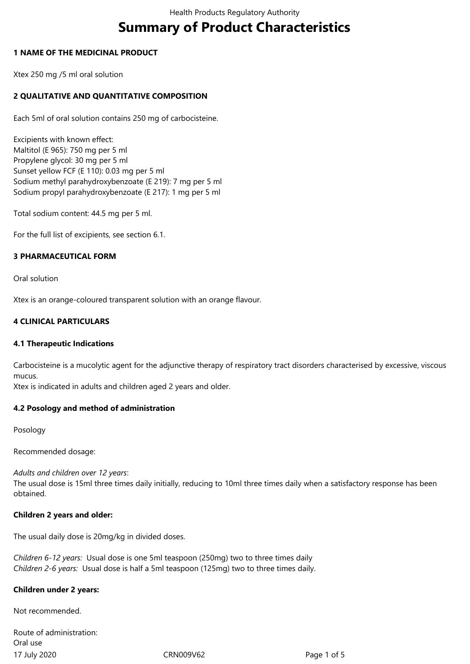# **Summary of Product Characteristics**

#### **1 NAME OF THE MEDICINAL PRODUCT**

Xtex 250 mg /5 ml oral solution

## **2 QUALITATIVE AND QUANTITATIVE COMPOSITION**

Each 5ml of oral solution contains 250 mg of carbocisteine.

Excipients with known effect: Maltitol (E 965): 750 mg per 5 ml Propylene glycol: 30 mg per 5 ml Sunset yellow FCF (E 110): 0.03 mg per 5 ml Sodium methyl parahydroxybenzoate (E 219): 7 mg per 5 ml Sodium propyl parahydroxybenzoate (E 217): 1 mg per 5 ml

Total sodium content: 44.5 mg per 5 ml.

For the full list of excipients, see section 6.1.

#### **3 PHARMACEUTICAL FORM**

Oral solution

Xtex is an orange-coloured transparent solution with an orange flavour.

#### **4 CLINICAL PARTICULARS**

#### **4.1 Therapeutic Indications**

Carbocisteine is a mucolytic agent for the adjunctive therapy of respiratory tract disorders characterised by excessive, viscous mucus.

Xtex is indicated in adults and children aged 2 years and older.

## **4.2 Posology and method of administration**

Posology

Recommended dosage:

#### *Adults and children over 12 years*:

The usual dose is 15ml three times daily initially, reducing to 10ml three times daily when a satisfactory response has been obtained.

#### **Children 2 years and older:**

The usual daily dose is 20mg/kg in divided doses.

*Children 6-12 years:* Usual dose is one 5ml teaspoon (250mg) two to three times daily *Children 2-6 years:* Usual dose is half a 5ml teaspoon (125mg) two to three times daily.

#### **Children under 2 years:**

Not recommended.

17 July 2020 CRN009V62 Page 1 of 5 Route of administration: Oral use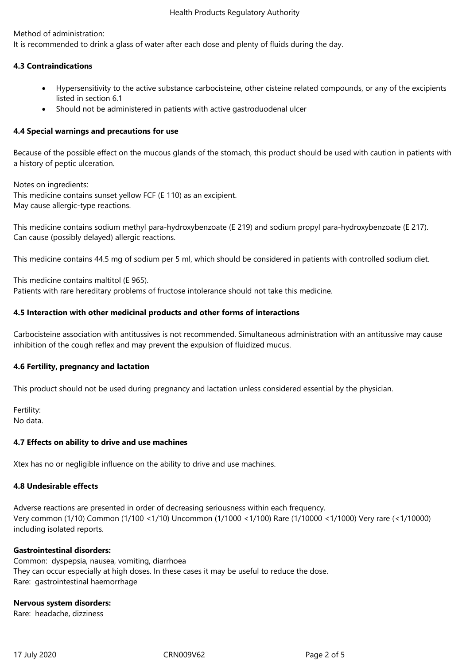Method of administration:

It is recommended to drink a glass of water after each dose and plenty of fluids during the day.

## **4.3 Contraindications**

- Hypersensitivity to the active substance carbocisteine, other cisteine related compounds, or any of the excipients listed in section 6.1
- Should not be administered in patients with active gastroduodenal ulcer

#### **4.4 Special warnings and precautions for use**

Because of the possible effect on the mucous glands of the stomach, this product should be used with caution in patients with a history of peptic ulceration.

Notes on ingredients: This medicine contains sunset yellow FCF (E 110) as an excipient. May cause allergic-type reactions.

This medicine contains sodium methyl para-hydroxybenzoate (E 219) and sodium propyl para-hydroxybenzoate (E 217). Can cause (possibly delayed) allergic reactions.

This medicine contains 44.5 mg of sodium per 5 ml, which should be considered in patients with controlled sodium diet.

This medicine contains maltitol (E 965). Patients with rare hereditary problems of fructose intolerance should not take this medicine.

#### **4.5 Interaction with other medicinal products and other forms of interactions**

Carbocisteine association with antitussives is not recommended. Simultaneous administration with an antitussive may cause inhibition of the cough reflex and may prevent the expulsion of fluidized mucus.

#### **4.6 Fertility, pregnancy and lactation**

This product should not be used during pregnancy and lactation unless considered essential by the physician.

Fertility: No data.

#### **4.7 Effects on ability to drive and use machines**

Xtex has no or negligible influence on the ability to drive and use machines.

#### **4.8 Undesirable effects**

Adverse reactions are presented in order of decreasing seriousness within each frequency. Very common (1/10) Common (1/100 <1/10) Uncommon (1/1000 <1/100) Rare (1/10000 <1/1000) Very rare (<1/10000) including isolated reports.

#### **Gastrointestinal disorders:**

Common: dyspepsia, nausea, vomiting, diarrhoea They can occur especially at high doses. In these cases it may be useful to reduce the dose. Rare: gastrointestinal haemorrhage

#### **Nervous system disorders:**

Rare: headache, dizziness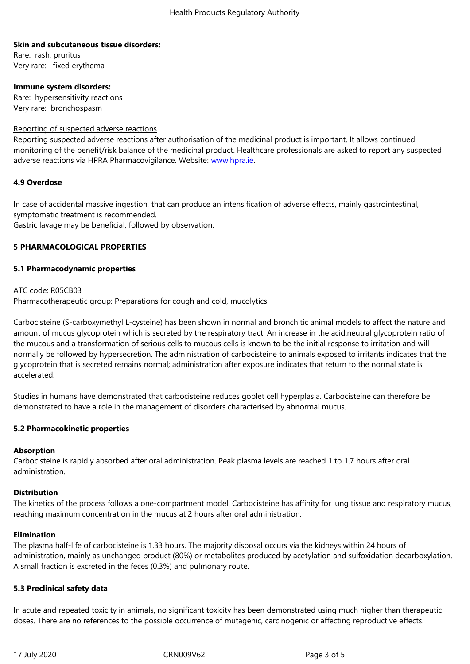#### **Skin and subcutaneous tissue disorders:**

Rare: rash, pruritus Very rare: fixed erythema

#### **Immune system disorders:**

Rare: hypersensitivity reactions Very rare: bronchospasm

#### Reporting of suspected adverse reactions

Reporting suspected adverse reactions after authorisation of the medicinal product is important. It allows continued monitoring of the benefit/risk balance of the medicinal product. Healthcare professionals are asked to report any suspected adverse reactions via HPRA Pharmacovigilance. Website: www.hpra.ie.

#### **4.9 Overdose**

In case of accidental massive ingestion, that can produce [an intensific](http://www.hpra.ie/)ation of adverse effects, mainly gastrointestinal, symptomatic treatment is recommended. Gastric lavage may be beneficial, followed by observation.

#### **5 PHARMACOLOGICAL PROPERTIES**

#### **5.1 Pharmacodynamic properties**

ATC code: R05CB03 Pharmacotherapeutic group: Preparations for cough and cold, mucolytics.

Carbocisteine (S-carboxymethyl L-cysteine) has been shown in normal and bronchitic animal models to affect the nature and amount of mucus glycoprotein which is secreted by the respiratory tract. An increase in the acid:neutral glycoprotein ratio of the mucous and a transformation of serious cells to mucous cells is known to be the initial response to irritation and will normally be followed by hypersecretion. The administration of carbocisteine to animals exposed to irritants indicates that the glycoprotein that is secreted remains normal; administration after exposure indicates that return to the normal state is accelerated.

Studies in humans have demonstrated that carbocisteine reduces goblet cell hyperplasia. Carbocisteine can therefore be demonstrated to have a role in the management of disorders characterised by abnormal mucus.

#### **5.2 Pharmacokinetic properties**

#### **Absorption**

Carbocisteine is rapidly absorbed after oral administration. Peak plasma levels are reached 1 to 1.7 hours after oral administration.

#### **Distribution**

The kinetics of the process follows a one-compartment model. Carbocisteine has affinity for lung tissue and respiratory mucus, reaching maximum concentration in the mucus at 2 hours after oral administration.

#### **Elimination**

The plasma half-life of carbocisteine is 1.33 hours. The majority disposal occurs via the kidneys within 24 hours of administration, mainly as unchanged product (80%) or metabolites produced by acetylation and sulfoxidation decarboxylation. A small fraction is excreted in the feces (0.3%) and pulmonary route.

#### **5.3 Preclinical safety data**

In acute and repeated toxicity in animals, no significant toxicity has been demonstrated using much higher than therapeutic doses. There are no references to the possible occurrence of mutagenic, carcinogenic or affecting reproductive effects.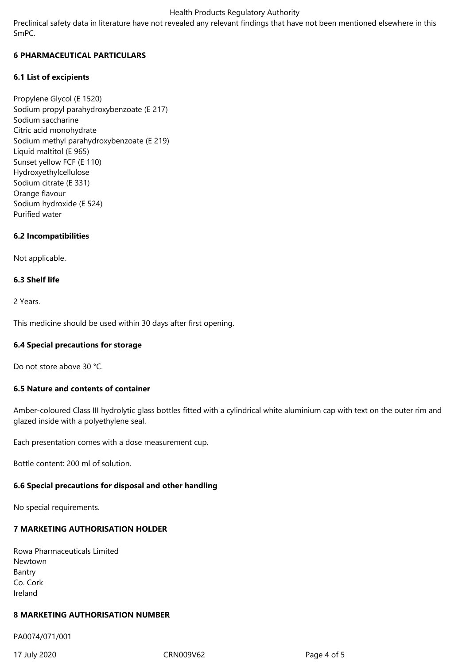#### Health Products Regulatory Authority

Preclinical safety data in literature have not revealed any relevant findings that have not been mentioned elsewhere in this SmPC.

### **6 PHARMACEUTICAL PARTICULARS**

#### **6.1 List of excipients**

Propylene Glycol (E 1520) Sodium propyl parahydroxybenzoate (E 217) Sodium saccharine Citric acid monohydrate Sodium methyl parahydroxybenzoate (E 219) Liquid maltitol (E 965) Sunset yellow FCF (E 110) Hydroxyethylcellulose Sodium citrate (E 331) Orange flavour Sodium hydroxide (E 524) Purified water

#### **6.2 Incompatibilities**

Not applicable.

#### **6.3 Shelf life**

2 Years.

This medicine should be used within 30 days after first opening.

#### **6.4 Special precautions for storage**

Do not store above 30 °C.

#### **6.5 Nature and contents of container**

Amber-coloured Class III hydrolytic glass bottles fitted with a cylindrical white aluminium cap with text on the outer rim and glazed inside with a polyethylene seal.

Each presentation comes with a dose measurement cup.

Bottle content: 200 ml of solution.

## **6.6 Special precautions for disposal and other handling**

No special requirements.

# **7 MARKETING AUTHORISATION HOLDER**

| Rowa Pharmaceuticals Limited |
|------------------------------|
| Newtown                      |
| Bantry                       |
| Co. Cork                     |
| Ireland                      |

## **8 MARKETING AUTHORISATION NUMBER**

PA0074/071/001

17 July 2020 CRN009V62 Page 4 of 5